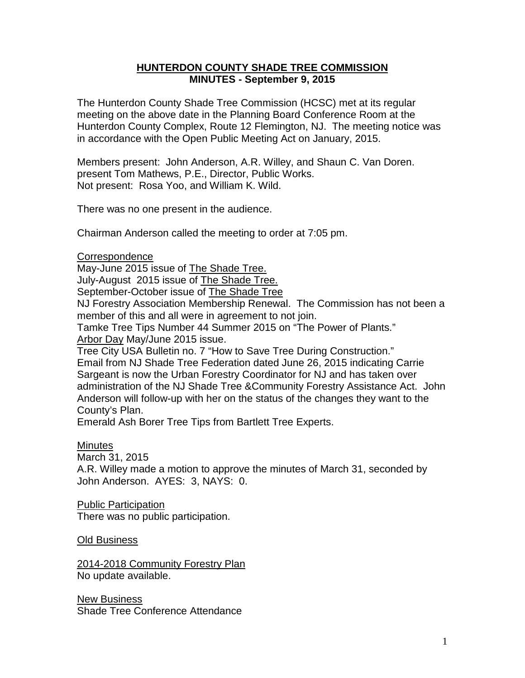## **HUNTERDON COUNTY SHADE TREE COMMISSION MINUTES - September 9, 2015**

The Hunterdon County Shade Tree Commission (HCSC) met at its regular meeting on the above date in the Planning Board Conference Room at the Hunterdon County Complex, Route 12 Flemington, NJ. The meeting notice was in accordance with the Open Public Meeting Act on January, 2015.

Members present: John Anderson, A.R. Willey, and Shaun C. Van Doren. present Tom Mathews, P.E., Director, Public Works. Not present: Rosa Yoo, and William K. Wild.

There was no one present in the audience.

Chairman Anderson called the meeting to order at 7:05 pm.

Correspondence

May-June 2015 issue of The Shade Tree. July-August 2015 issue of The Shade Tree.

September-October issue of The Shade Tree

NJ Forestry Association Membership Renewal. The Commission has not been a member of this and all were in agreement to not join.

Tamke Tree Tips Number 44 Summer 2015 on "The Power of Plants." Arbor Day May/June 2015 issue.

Tree City USA Bulletin no. 7 "How to Save Tree During Construction." Email from NJ Shade Tree Federation dated June 26, 2015 indicating Carrie Sargeant is now the Urban Forestry Coordinator for NJ and has taken over administration of the NJ Shade Tree &Community Forestry Assistance Act. John Anderson will follow-up with her on the status of the changes they want to the County's Plan.

Emerald Ash Borer Tree Tips from Bartlett Tree Experts.

## Minutes

March 31, 2015

A.R. Willey made a motion to approve the minutes of March 31, seconded by John Anderson. AYES: 3, NAYS: 0.

Public Participation There was no public participation.

Old Business

2014-2018 Community Forestry Plan No update available.

New Business Shade Tree Conference Attendance